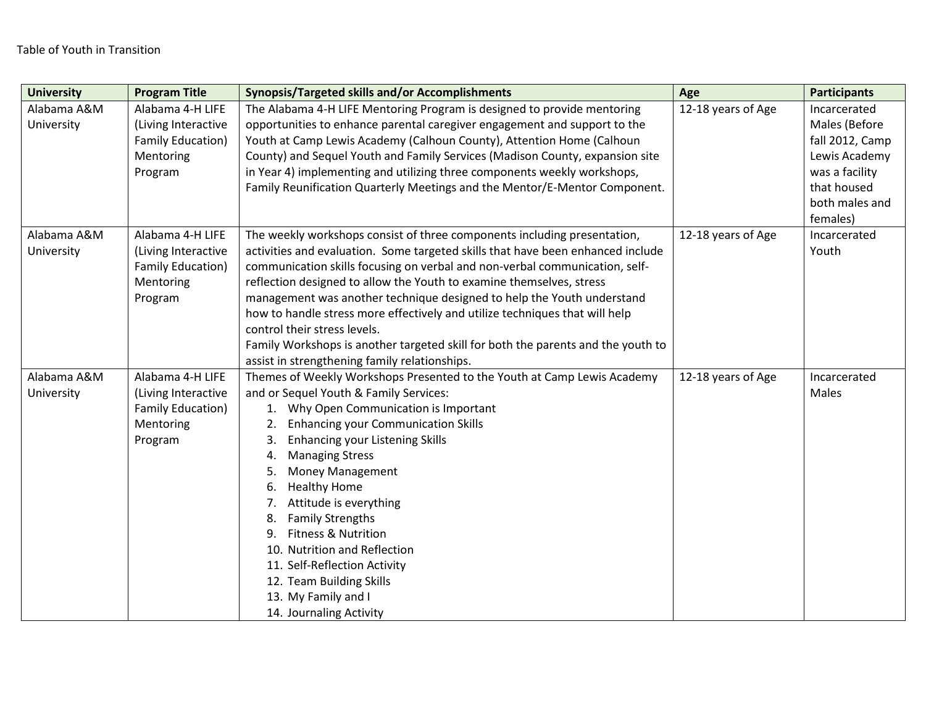| <b>University</b>         | <b>Program Title</b>                                                                        | <b>Synopsis/Targeted skills and/or Accomplishments</b>                                                                                                                                                                                                                                                                                                                                                                                                                                                                                                                                             | Age                | <b>Participants</b>              |
|---------------------------|---------------------------------------------------------------------------------------------|----------------------------------------------------------------------------------------------------------------------------------------------------------------------------------------------------------------------------------------------------------------------------------------------------------------------------------------------------------------------------------------------------------------------------------------------------------------------------------------------------------------------------------------------------------------------------------------------------|--------------------|----------------------------------|
| Alabama A&M<br>University | Alabama 4-H LIFE<br>(Living Interactive                                                     | The Alabama 4-H LIFE Mentoring Program is designed to provide mentoring<br>opportunities to enhance parental caregiver engagement and support to the                                                                                                                                                                                                                                                                                                                                                                                                                                               | 12-18 years of Age | Incarcerated<br>Males (Before    |
|                           | Family Education)<br>Mentoring                                                              | Youth at Camp Lewis Academy (Calhoun County), Attention Home (Calhoun<br>County) and Sequel Youth and Family Services (Madison County, expansion site                                                                                                                                                                                                                                                                                                                                                                                                                                              |                    | fall 2012, Camp<br>Lewis Academy |
|                           | Program                                                                                     | in Year 4) implementing and utilizing three components weekly workshops,<br>Family Reunification Quarterly Meetings and the Mentor/E-Mentor Component.                                                                                                                                                                                                                                                                                                                                                                                                                                             |                    | was a facility<br>that housed    |
|                           |                                                                                             |                                                                                                                                                                                                                                                                                                                                                                                                                                                                                                                                                                                                    |                    | both males and<br>females)       |
| Alabama A&M<br>University | Alabama 4-H LIFE<br>(Living Interactive<br><b>Family Education)</b><br>Mentoring<br>Program | The weekly workshops consist of three components including presentation,<br>activities and evaluation. Some targeted skills that have been enhanced include<br>communication skills focusing on verbal and non-verbal communication, self-<br>reflection designed to allow the Youth to examine themselves, stress<br>management was another technique designed to help the Youth understand<br>how to handle stress more effectively and utilize techniques that will help<br>control their stress levels.<br>Family Workshops is another targeted skill for both the parents and the youth to    | 12-18 years of Age | Incarcerated<br>Youth            |
|                           |                                                                                             | assist in strengthening family relationships.                                                                                                                                                                                                                                                                                                                                                                                                                                                                                                                                                      |                    |                                  |
| Alabama A&M<br>University | Alabama 4-H LIFE<br>(Living Interactive<br>Family Education)<br>Mentoring<br>Program        | Themes of Weekly Workshops Presented to the Youth at Camp Lewis Academy<br>and or Sequel Youth & Family Services:<br>1. Why Open Communication is Important<br><b>Enhancing your Communication Skills</b><br>2.<br><b>Enhancing your Listening Skills</b><br>3.<br><b>Managing Stress</b><br>4.<br>Money Management<br>5.<br><b>Healthy Home</b><br>6.<br>Attitude is everything<br>7.<br><b>Family Strengths</b><br>8.<br>Fitness & Nutrition<br>9.<br>10. Nutrition and Reflection<br>11. Self-Reflection Activity<br>12. Team Building Skills<br>13. My Family and I<br>14. Journaling Activity | 12-18 years of Age | Incarcerated<br>Males            |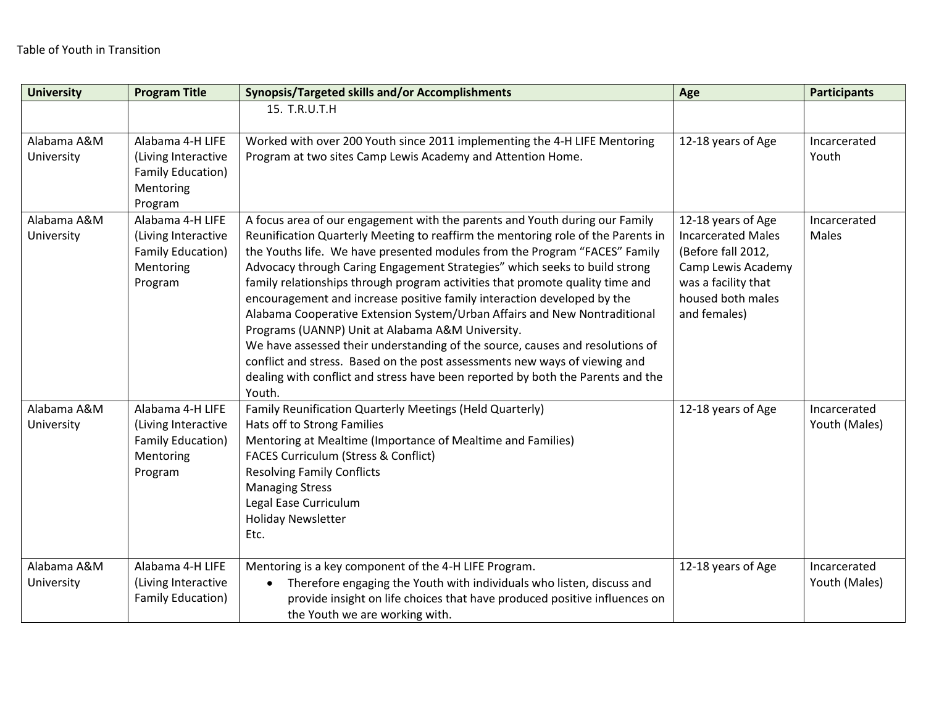| <b>University</b>         | <b>Program Title</b>                                                                        | Synopsis/Targeted skills and/or Accomplishments                                                                                                                                                                                                                                                                                                                                                                                                                                                                                                                                                                                                                                                                                                                                                                                                                                      | Age                                                                                                                                                     | <b>Participants</b>           |
|---------------------------|---------------------------------------------------------------------------------------------|--------------------------------------------------------------------------------------------------------------------------------------------------------------------------------------------------------------------------------------------------------------------------------------------------------------------------------------------------------------------------------------------------------------------------------------------------------------------------------------------------------------------------------------------------------------------------------------------------------------------------------------------------------------------------------------------------------------------------------------------------------------------------------------------------------------------------------------------------------------------------------------|---------------------------------------------------------------------------------------------------------------------------------------------------------|-------------------------------|
|                           |                                                                                             | 15. T.R.U.T.H                                                                                                                                                                                                                                                                                                                                                                                                                                                                                                                                                                                                                                                                                                                                                                                                                                                                        |                                                                                                                                                         |                               |
| Alabama A&M<br>University | Alabama 4-H LIFE<br>(Living Interactive<br><b>Family Education)</b><br>Mentoring<br>Program | Worked with over 200 Youth since 2011 implementing the 4-H LIFE Mentoring<br>Program at two sites Camp Lewis Academy and Attention Home.                                                                                                                                                                                                                                                                                                                                                                                                                                                                                                                                                                                                                                                                                                                                             | 12-18 years of Age                                                                                                                                      | Incarcerated<br>Youth         |
| Alabama A&M<br>University | Alabama 4-H LIFE<br>(Living Interactive<br><b>Family Education)</b><br>Mentoring<br>Program | A focus area of our engagement with the parents and Youth during our Family<br>Reunification Quarterly Meeting to reaffirm the mentoring role of the Parents in<br>the Youths life. We have presented modules from the Program "FACES" Family<br>Advocacy through Caring Engagement Strategies" which seeks to build strong<br>family relationships through program activities that promote quality time and<br>encouragement and increase positive family interaction developed by the<br>Alabama Cooperative Extension System/Urban Affairs and New Nontraditional<br>Programs (UANNP) Unit at Alabama A&M University.<br>We have assessed their understanding of the source, causes and resolutions of<br>conflict and stress. Based on the post assessments new ways of viewing and<br>dealing with conflict and stress have been reported by both the Parents and the<br>Youth. | 12-18 years of Age<br><b>Incarcerated Males</b><br>(Before fall 2012,<br>Camp Lewis Academy<br>was a facility that<br>housed both males<br>and females) | Incarcerated<br>Males         |
| Alabama A&M<br>University | Alabama 4-H LIFE<br>(Living Interactive<br>Family Education)<br>Mentoring<br>Program        | Family Reunification Quarterly Meetings (Held Quarterly)<br>Hats off to Strong Families<br>Mentoring at Mealtime (Importance of Mealtime and Families)<br><b>FACES Curriculum (Stress &amp; Conflict)</b><br><b>Resolving Family Conflicts</b><br><b>Managing Stress</b><br>Legal Ease Curriculum<br><b>Holiday Newsletter</b><br>Etc.                                                                                                                                                                                                                                                                                                                                                                                                                                                                                                                                               | 12-18 years of Age                                                                                                                                      | Incarcerated<br>Youth (Males) |
| Alabama A&M<br>University | Alabama 4-H LIFE<br>(Living Interactive<br>Family Education)                                | Mentoring is a key component of the 4-H LIFE Program.<br>Therefore engaging the Youth with individuals who listen, discuss and<br>$\bullet$<br>provide insight on life choices that have produced positive influences on<br>the Youth we are working with.                                                                                                                                                                                                                                                                                                                                                                                                                                                                                                                                                                                                                           | 12-18 years of Age                                                                                                                                      | Incarcerated<br>Youth (Males) |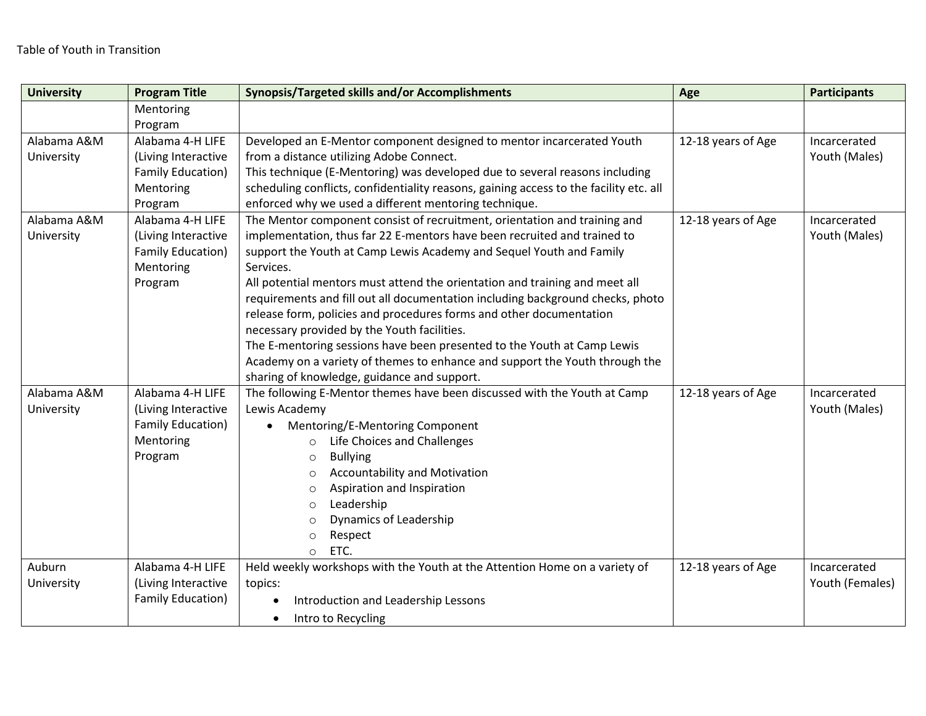| <b>University</b> | <b>Program Title</b>     | Synopsis/Targeted skills and/or Accomplishments                                                                         | Age                | <b>Participants</b> |
|-------------------|--------------------------|-------------------------------------------------------------------------------------------------------------------------|--------------------|---------------------|
|                   | Mentoring                |                                                                                                                         |                    |                     |
|                   | Program                  |                                                                                                                         |                    |                     |
| Alabama A&M       | Alabama 4-H LIFE         | Developed an E-Mentor component designed to mentor incarcerated Youth                                                   | 12-18 years of Age | Incarcerated        |
| University        | (Living Interactive      | from a distance utilizing Adobe Connect.                                                                                |                    | Youth (Males)       |
|                   | <b>Family Education)</b> | This technique (E-Mentoring) was developed due to several reasons including                                             |                    |                     |
|                   | Mentoring                | scheduling conflicts, confidentiality reasons, gaining access to the facility etc. all                                  |                    |                     |
|                   | Program                  | enforced why we used a different mentoring technique.                                                                   |                    |                     |
| Alabama A&M       | Alabama 4-H LIFE         | The Mentor component consist of recruitment, orientation and training and                                               | 12-18 years of Age | Incarcerated        |
| University        | (Living Interactive      | implementation, thus far 22 E-mentors have been recruited and trained to                                                |                    | Youth (Males)       |
|                   | <b>Family Education)</b> | support the Youth at Camp Lewis Academy and Sequel Youth and Family                                                     |                    |                     |
|                   | Mentoring                | Services.                                                                                                               |                    |                     |
|                   | Program                  | All potential mentors must attend the orientation and training and meet all                                             |                    |                     |
|                   |                          | requirements and fill out all documentation including background checks, photo                                          |                    |                     |
|                   |                          | release form, policies and procedures forms and other documentation                                                     |                    |                     |
|                   |                          | necessary provided by the Youth facilities.                                                                             |                    |                     |
|                   |                          | The E-mentoring sessions have been presented to the Youth at Camp Lewis                                                 |                    |                     |
|                   |                          | Academy on a variety of themes to enhance and support the Youth through the                                             |                    |                     |
| Alabama A&M       | Alabama 4-H LIFE         | sharing of knowledge, guidance and support.<br>The following E-Mentor themes have been discussed with the Youth at Camp | 12-18 years of Age | Incarcerated        |
| University        | (Living Interactive      | Lewis Academy                                                                                                           |                    | Youth (Males)       |
|                   | Family Education)        | Mentoring/E-Mentoring Component<br>$\bullet$                                                                            |                    |                     |
|                   | Mentoring                | Life Choices and Challenges<br>$\circ$                                                                                  |                    |                     |
|                   | Program                  | <b>Bullying</b><br>$\circ$                                                                                              |                    |                     |
|                   |                          | <b>Accountability and Motivation</b><br>$\circ$                                                                         |                    |                     |
|                   |                          | Aspiration and Inspiration<br>$\circ$                                                                                   |                    |                     |
|                   |                          | Leadership<br>$\circ$                                                                                                   |                    |                     |
|                   |                          | <b>Dynamics of Leadership</b><br>$\circ$                                                                                |                    |                     |
|                   |                          | Respect<br>$\circ$                                                                                                      |                    |                     |
|                   |                          | ETC.<br>$\circ$                                                                                                         |                    |                     |
| Auburn            | Alabama 4-H LIFE         | Held weekly workshops with the Youth at the Attention Home on a variety of                                              | 12-18 years of Age | Incarcerated        |
| University        | (Living Interactive      | topics:                                                                                                                 |                    | Youth (Females)     |
|                   | Family Education)        | Introduction and Leadership Lessons<br>$\bullet$                                                                        |                    |                     |
|                   |                          | Intro to Recycling<br>$\bullet$                                                                                         |                    |                     |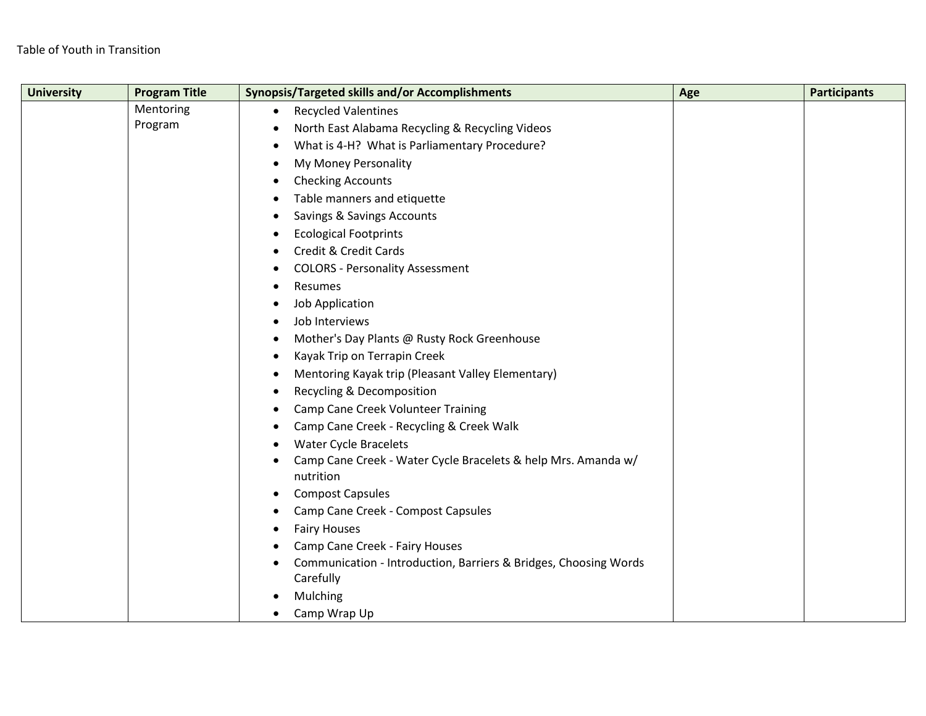| <b>University</b> | <b>Program Title</b> | Synopsis/Targeted skills and/or Accomplishments                                            | Age | <b>Participants</b> |
|-------------------|----------------------|--------------------------------------------------------------------------------------------|-----|---------------------|
|                   | Mentoring            | <b>Recycled Valentines</b><br>$\bullet$                                                    |     |                     |
|                   | Program              | North East Alabama Recycling & Recycling Videos<br>$\bullet$                               |     |                     |
|                   |                      | What is 4-H? What is Parliamentary Procedure?<br>$\bullet$                                 |     |                     |
|                   |                      | My Money Personality<br>$\bullet$                                                          |     |                     |
|                   |                      | <b>Checking Accounts</b><br>$\bullet$                                                      |     |                     |
|                   |                      | Table manners and etiquette<br>$\bullet$                                                   |     |                     |
|                   |                      | Savings & Savings Accounts<br>$\bullet$                                                    |     |                     |
|                   |                      | <b>Ecological Footprints</b><br>$\bullet$                                                  |     |                     |
|                   |                      | Credit & Credit Cards<br>$\bullet$                                                         |     |                     |
|                   |                      | <b>COLORS - Personality Assessment</b><br>$\bullet$                                        |     |                     |
|                   |                      | Resumes<br>$\bullet$                                                                       |     |                     |
|                   |                      | Job Application<br>$\bullet$                                                               |     |                     |
|                   |                      | Job Interviews                                                                             |     |                     |
|                   |                      | Mother's Day Plants @ Rusty Rock Greenhouse<br>$\bullet$                                   |     |                     |
|                   |                      | Kayak Trip on Terrapin Creek<br>$\bullet$                                                  |     |                     |
|                   |                      | Mentoring Kayak trip (Pleasant Valley Elementary)<br>$\bullet$                             |     |                     |
|                   |                      | Recycling & Decomposition<br>$\bullet$                                                     |     |                     |
|                   |                      | Camp Cane Creek Volunteer Training<br>$\bullet$                                            |     |                     |
|                   |                      | Camp Cane Creek - Recycling & Creek Walk<br>$\bullet$                                      |     |                     |
|                   |                      | <b>Water Cycle Bracelets</b><br>$\bullet$                                                  |     |                     |
|                   |                      | Camp Cane Creek - Water Cycle Bracelets & help Mrs. Amanda w/                              |     |                     |
|                   |                      | nutrition                                                                                  |     |                     |
|                   |                      | <b>Compost Capsules</b><br>$\bullet$                                                       |     |                     |
|                   |                      | Camp Cane Creek - Compost Capsules                                                         |     |                     |
|                   |                      | <b>Fairy Houses</b><br>$\bullet$                                                           |     |                     |
|                   |                      | Camp Cane Creek - Fairy Houses                                                             |     |                     |
|                   |                      | Communication - Introduction, Barriers & Bridges, Choosing Words<br>$\bullet$<br>Carefully |     |                     |
|                   |                      | Mulching                                                                                   |     |                     |
|                   |                      | Camp Wrap Up                                                                               |     |                     |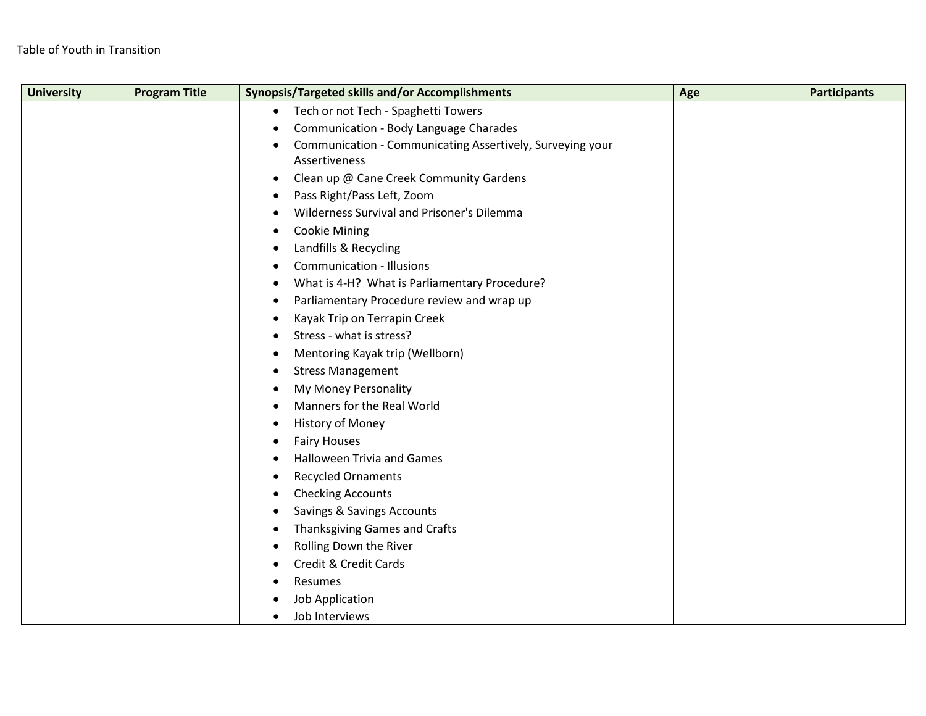| <b>University</b> | <b>Program Title</b> | Synopsis/Targeted skills and/or Accomplishments                        | Age | <b>Participants</b> |
|-------------------|----------------------|------------------------------------------------------------------------|-----|---------------------|
|                   |                      | Tech or not Tech - Spaghetti Towers<br>$\bullet$                       |     |                     |
|                   |                      | Communication - Body Language Charades<br>٠                            |     |                     |
|                   |                      | Communication - Communicating Assertively, Surveying your<br>$\bullet$ |     |                     |
|                   |                      | Assertiveness                                                          |     |                     |
|                   |                      | Clean up @ Cane Creek Community Gardens<br>$\bullet$                   |     |                     |
|                   |                      | Pass Right/Pass Left, Zoom<br>٠                                        |     |                     |
|                   |                      | Wilderness Survival and Prisoner's Dilemma<br>$\bullet$                |     |                     |
|                   |                      | <b>Cookie Mining</b><br>$\bullet$                                      |     |                     |
|                   |                      | Landfills & Recycling<br>$\bullet$                                     |     |                     |
|                   |                      | <b>Communication - Illusions</b><br>٠                                  |     |                     |
|                   |                      | What is 4-H? What is Parliamentary Procedure?<br>$\bullet$             |     |                     |
|                   |                      | Parliamentary Procedure review and wrap up<br>$\bullet$                |     |                     |
|                   |                      | Kayak Trip on Terrapin Creek<br>٠                                      |     |                     |
|                   |                      | Stress - what is stress?<br>$\bullet$                                  |     |                     |
|                   |                      | Mentoring Kayak trip (Wellborn)<br>٠                                   |     |                     |
|                   |                      | <b>Stress Management</b><br>٠                                          |     |                     |
|                   |                      | My Money Personality<br>$\bullet$                                      |     |                     |
|                   |                      | Manners for the Real World<br>$\bullet$                                |     |                     |
|                   |                      | History of Money<br>$\bullet$                                          |     |                     |
|                   |                      | <b>Fairy Houses</b><br>٠                                               |     |                     |
|                   |                      | <b>Halloween Trivia and Games</b><br>$\bullet$                         |     |                     |
|                   |                      | <b>Recycled Ornaments</b><br>$\bullet$                                 |     |                     |
|                   |                      | <b>Checking Accounts</b><br>$\bullet$                                  |     |                     |
|                   |                      | Savings & Savings Accounts<br>٠                                        |     |                     |
|                   |                      | Thanksgiving Games and Crafts<br>$\bullet$                             |     |                     |
|                   |                      | Rolling Down the River<br>$\bullet$                                    |     |                     |
|                   |                      | Credit & Credit Cards<br>٠                                             |     |                     |
|                   |                      | Resumes                                                                |     |                     |
|                   |                      | <b>Job Application</b>                                                 |     |                     |
|                   |                      | Job Interviews                                                         |     |                     |